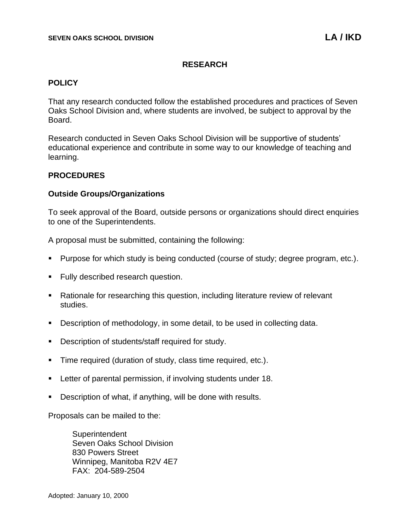# **RESEARCH**

# **POLICY**

That any research conducted follow the established procedures and practices of Seven Oaks School Division and, where students are involved, be subject to approval by the Board.

Research conducted in Seven Oaks School Division will be supportive of students' educational experience and contribute in some way to our knowledge of teaching and learning.

# **PROCEDURES**

# **Outside Groups/Organizations**

To seek approval of the Board, outside persons or organizations should direct enquiries to one of the Superintendents.

A proposal must be submitted, containing the following:

- Purpose for which study is being conducted (course of study; degree program, etc.).
- Fully described research question.
- Rationale for researching this question, including literature review of relevant studies.
- Description of methodology, in some detail, to be used in collecting data.
- Description of students/staff required for study.
- **Time required (duration of study, class time required, etc.).**
- Letter of parental permission, if involving students under 18.
- Description of what, if anything, will be done with results.

Proposals can be mailed to the:

**Superintendent** Seven Oaks School Division 830 Powers Street Winnipeg, Manitoba R2V 4E7 FAX: 204-589-2504